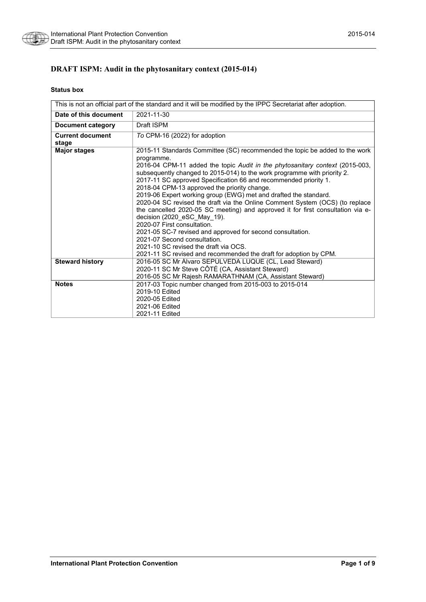

# **DRAFT ISPM: Audit in the phytosanitary context (2015-014)**

#### **Status box**

| This is not an official part of the standard and it will be modified by the IPPC Secretariat after adoption. |                                                                                                                                                                                                                                                                                                                                                                                                                                                                                                                                                                                                                                                                                                                                                                                                                                                                                            |  |
|--------------------------------------------------------------------------------------------------------------|--------------------------------------------------------------------------------------------------------------------------------------------------------------------------------------------------------------------------------------------------------------------------------------------------------------------------------------------------------------------------------------------------------------------------------------------------------------------------------------------------------------------------------------------------------------------------------------------------------------------------------------------------------------------------------------------------------------------------------------------------------------------------------------------------------------------------------------------------------------------------------------------|--|
| Date of this document                                                                                        | 2021-11-30                                                                                                                                                                                                                                                                                                                                                                                                                                                                                                                                                                                                                                                                                                                                                                                                                                                                                 |  |
| <b>Document category</b>                                                                                     | Draft ISPM                                                                                                                                                                                                                                                                                                                                                                                                                                                                                                                                                                                                                                                                                                                                                                                                                                                                                 |  |
| <b>Current document</b><br>stage                                                                             | To CPM-16 (2022) for adoption                                                                                                                                                                                                                                                                                                                                                                                                                                                                                                                                                                                                                                                                                                                                                                                                                                                              |  |
| <b>Major stages</b>                                                                                          | 2015-11 Standards Committee (SC) recommended the topic be added to the work<br>programme.<br>2016-04 CPM-11 added the topic Audit in the phytosanitary context (2015-003,<br>subsequently changed to 2015-014) to the work programme with priority 2.<br>2017-11 SC approved Specification 66 and recommended priority 1.<br>2018-04 CPM-13 approved the priority change.<br>2019-06 Expert working group (EWG) met and drafted the standard.<br>2020-04 SC revised the draft via the Online Comment System (OCS) (to replace<br>the cancelled 2020-05 SC meeting) and approved it for first consultation via e-<br>decision (2020_eSC_May_19).<br>2020-07 First consultation.<br>2021-05 SC-7 revised and approved for second consultation.<br>2021-07 Second consultation.<br>2021-10 SC revised the draft via OCS.<br>2021-11 SC revised and recommended the draft for adoption by CPM. |  |
| <b>Steward history</b>                                                                                       | 2016-05 SC Mr Álvaro SEPÚLVEDA LUQUE (CL, Lead Steward)<br>2020-11 SC Mr Steve CÔTÉ (CA, Assistant Steward)<br>2016-05 SC Mr Rajesh RAMARATHNAM (CA, Assistant Steward)                                                                                                                                                                                                                                                                                                                                                                                                                                                                                                                                                                                                                                                                                                                    |  |
| <b>Notes</b>                                                                                                 | 2017-03 Topic number changed from 2015-003 to 2015-014<br>2019-10 Edited<br>2020-05 Edited<br>2021-06 Edited<br>2021-11 Edited                                                                                                                                                                                                                                                                                                                                                                                                                                                                                                                                                                                                                                                                                                                                                             |  |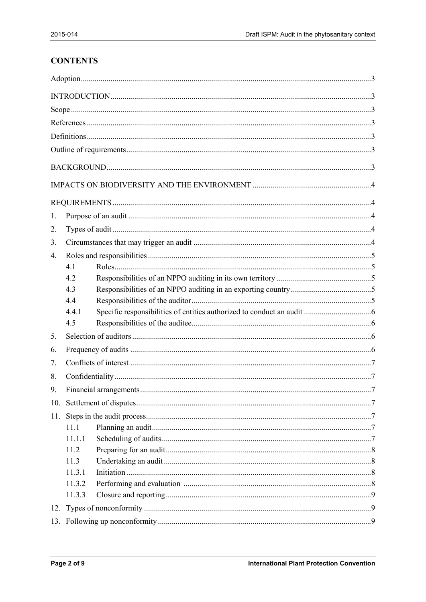# **CONTENTS**

| 1.  |        |  |  |
|-----|--------|--|--|
|     |        |  |  |
| 2.  |        |  |  |
| 3.  |        |  |  |
| 4.  |        |  |  |
|     | 4.1    |  |  |
|     | 4.2    |  |  |
|     | 4.3    |  |  |
|     | 4.4    |  |  |
|     | 4.4.1  |  |  |
|     | 4.5    |  |  |
| 5.  |        |  |  |
| 6.  |        |  |  |
| 7.  |        |  |  |
| 8.  |        |  |  |
| 9.  |        |  |  |
|     |        |  |  |
| 11. |        |  |  |
|     | 11.1   |  |  |
|     | 11.1.1 |  |  |
|     | 11.2   |  |  |
|     | 11.3   |  |  |
|     | 11.3.1 |  |  |
|     | 11.3.2 |  |  |
|     | 11.3.3 |  |  |
|     |        |  |  |
|     |        |  |  |
|     |        |  |  |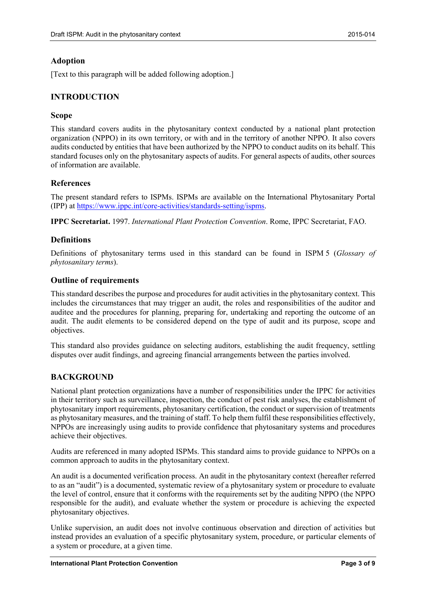#### <span id="page-2-0"></span>**Adoption**

[Text to this paragraph will be added following adoption.]

#### <span id="page-2-1"></span>**INTRODUCTION**

#### <span id="page-2-2"></span>**Scope**

This standard covers audits in the phytosanitary context conducted by a national plant protection organization (NPPO) in its own territory, or with and in the territory of another NPPO. It also covers audits conducted by entities that have been authorized by the NPPO to conduct audits on its behalf. This standard focuses only on the phytosanitary aspects of audits. For general aspects of audits, other sources of information are available.

#### <span id="page-2-3"></span>**References**

The present standard refers to ISPMs. ISPMs are available on the International Phytosanitary Portal (IPP) at [https://www.ippc.int/core-activities/standards-setting/ispms.](https://www.ippc.int/core-activities/standards-setting/ispms)

**IPPC Secretariat.** 1997. *International Plant Protection Convention*. Rome, IPPC Secretariat, FAO.

#### <span id="page-2-4"></span>**Definitions**

Definitions of phytosanitary terms used in this standard can be found in ISPM 5 (*Glossary of phytosanitary terms*).

#### <span id="page-2-5"></span>**Outline of requirements**

This standard describes the purpose and procedures for audit activities in the phytosanitary context. This includes the circumstances that may trigger an audit, the roles and responsibilities of the auditor and auditee and the procedures for planning, preparing for, undertaking and reporting the outcome of an audit. The audit elements to be considered depend on the type of audit and its purpose, scope and objectives.

This standard also provides guidance on selecting auditors, establishing the audit frequency, settling disputes over audit findings, and agreeing financial arrangements between the parties involved.

#### <span id="page-2-6"></span>**BACKGROUND**

National plant protection organizations have a number of responsibilities under the IPPC for activities in their territory such as surveillance, inspection, the conduct of pest risk analyses, the establishment of phytosanitary import requirements, phytosanitary certification, the conduct or supervision of treatments as phytosanitary measures, and the training of staff. To help them fulfil these responsibilities effectively, NPPOs are increasingly using audits to provide confidence that phytosanitary systems and procedures achieve their objectives.

Audits are referenced in many adopted ISPMs. This standard aims to provide guidance to NPPOs on a common approach to audits in the phytosanitary context.

An audit is a documented verification process. An audit in the phytosanitary context (hereafter referred to as an "audit") is a documented, systematic review of a phytosanitary system or procedure to evaluate the level of control, ensure that it conforms with the requirements set by the auditing NPPO (the NPPO responsible for the audit), and evaluate whether the system or procedure is achieving the expected phytosanitary objectives.

Unlike supervision, an audit does not involve continuous observation and direction of activities but instead provides an evaluation of a specific phytosanitary system, procedure, or particular elements of a system or procedure, at a given time.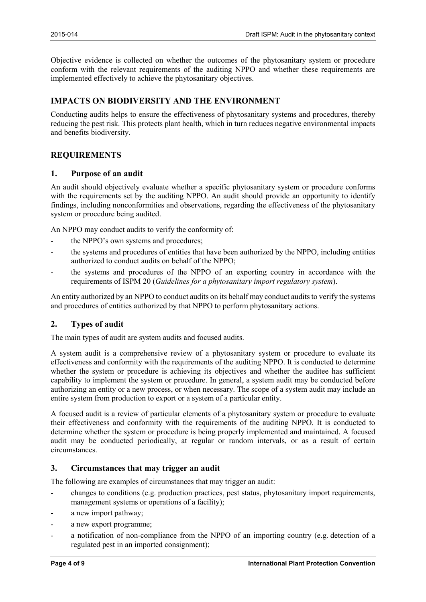Objective evidence is collected on whether the outcomes of the phytosanitary system or procedure conform with the relevant requirements of the auditing NPPO and whether these requirements are implemented effectively to achieve the phytosanitary objectives.

# <span id="page-3-0"></span>**IMPACTS ON BIODIVERSITY AND THE ENVIRONMENT**

Conducting audits helps to ensure the effectiveness of phytosanitary systems and procedures, thereby reducing the pest risk. This protects plant health, which in turn reduces negative environmental impacts and benefits biodiversity.

### <span id="page-3-1"></span>**REQUIREMENTS**

#### <span id="page-3-2"></span>**1. Purpose of an audit**

An audit should objectively evaluate whether a specific phytosanitary system or procedure conforms with the requirements set by the auditing NPPO. An audit should provide an opportunity to identify findings, including nonconformities and observations, regarding the effectiveness of the phytosanitary system or procedure being audited.

An NPPO may conduct audits to verify the conformity of:

- the NPPO's own systems and procedures;
- the systems and procedures of entities that have been authorized by the NPPO, including entities authorized to conduct audits on behalf of the NPPO;
- the systems and procedures of the NPPO of an exporting country in accordance with the requirements of ISPM 20 (*Guidelines for a phytosanitary import regulatory system*).

An entity authorized by an NPPO to conduct audits on its behalf may conduct audits to verify the systems and procedures of entities authorized by that NPPO to perform phytosanitary actions.

#### <span id="page-3-3"></span>**2. Types of audit**

The main types of audit are system audits and focused audits.

A system audit is a comprehensive review of a phytosanitary system or procedure to evaluate its effectiveness and conformity with the requirements of the auditing NPPO. It is conducted to determine whether the system or procedure is achieving its objectives and whether the auditee has sufficient capability to implement the system or procedure. In general, a system audit may be conducted before authorizing an entity or a new process, or when necessary. The scope of a system audit may include an entire system from production to export or a system of a particular entity.

A focused audit is a review of particular elements of a phytosanitary system or procedure to evaluate their effectiveness and conformity with the requirements of the auditing NPPO. It is conducted to determine whether the system or procedure is being properly implemented and maintained. A focused audit may be conducted periodically, at regular or random intervals, or as a result of certain circumstances.

#### <span id="page-3-4"></span>**3. Circumstances that may trigger an audit**

The following are examples of circumstances that may trigger an audit:

- changes to conditions (e.g. production practices, pest status, phytosanitary import requirements, management systems or operations of a facility);
- a new import pathway;
- a new export programme;
- a notification of non-compliance from the NPPO of an importing country (e.g. detection of a regulated pest in an imported consignment);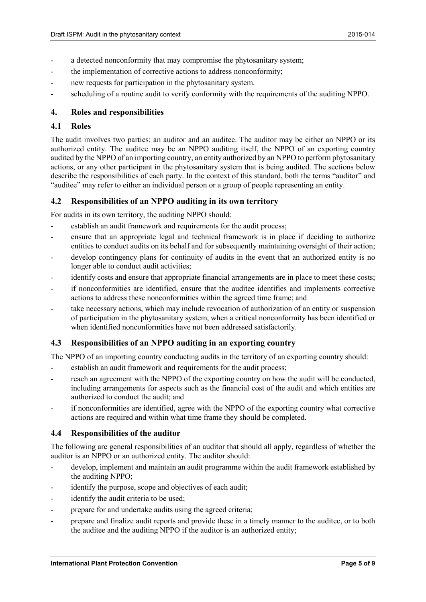- a detected nonconformity that may compromise the phytosanitary system;
- the implementation of corrective actions to address nonconformity;
- new requests for participation in the phytosanitary system.
- scheduling of a routine audit to verify conformity with the requirements of the auditing NPPO.

#### <span id="page-4-0"></span>**4. Roles and responsibilities**

#### <span id="page-4-1"></span>**4.1 Roles**

The audit involves two parties: an auditor and an auditee. The auditor may be either an NPPO or its authorized entity. The auditee may be an NPPO auditing itself, the NPPO of an exporting country audited by the NPPO of an importing country, an entity authorized by an NPPO to perform phytosanitary actions, or any other participant in the phytosanitary system that is being audited. The sections below describe the responsibilities of each party. In the context of this standard, both the terms "auditor" and "auditee" may refer to either an individual person or a group of people representing an entity.

#### <span id="page-4-2"></span>**4.2 Responsibilities of an NPPO auditing in its own territory**

For audits in its own territory, the auditing NPPO should:

- establish an audit framework and requirements for the audit process;
- ensure that an appropriate legal and technical framework is in place if deciding to authorize entities to conduct audits on its behalf and for subsequently maintaining oversight of their action;
- develop contingency plans for continuity of audits in the event that an authorized entity is no longer able to conduct audit activities;
- identify costs and ensure that appropriate financial arrangements are in place to meet these costs;
- if nonconformities are identified, ensure that the auditee identifies and implements corrective actions to address these nonconformities within the agreed time frame; and
- take necessary actions, which may include revocation of authorization of an entity or suspension of participation in the phytosanitary system, when a critical nonconformity has been identified or when identified nonconformities have not been addressed satisfactorily.

#### <span id="page-4-3"></span>**4.3 Responsibilities of an NPPO auditing in an exporting country**

The NPPO of an importing country conducting audits in the territory of an exporting country should:

- establish an audit framework and requirements for the audit process;
- reach an agreement with the NPPO of the exporting country on how the audit will be conducted, including arrangements for aspects such as the financial cost of the audit and which entities are authorized to conduct the audit; and
- if nonconformities are identified, agree with the NPPO of the exporting country what corrective actions are required and within what time frame they should be completed.

#### <span id="page-4-4"></span>**4.4 Responsibilities of the auditor**

The following are general responsibilities of an auditor that should all apply, regardless of whether the auditor is an NPPO or an authorized entity. The auditor should:

- develop, implement and maintain an audit programme within the audit framework established by the auditing NPPO;
- identify the purpose, scope and objectives of each audit;
- identify the audit criteria to be used;
- prepare for and undertake audits using the agreed criteria;
- prepare and finalize audit reports and provide these in a timely manner to the auditee, or to both the auditee and the auditing NPPO if the auditor is an authorized entity;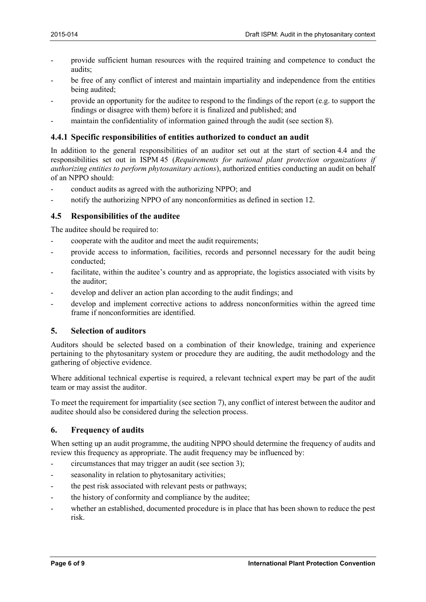- provide sufficient human resources with the required training and competence to conduct the audits;
- be free of any conflict of interest and maintain impartiality and independence from the entities being audited;
- provide an opportunity for the auditee to respond to the findings of the report (e.g. to support the findings or disagree with them) before it is finalized and published; and
- maintain the confidentiality of information gained through the audit (see section 8).

#### <span id="page-5-0"></span>**4.4.1 Specific responsibilities of entities authorized to conduct an audit**

In addition to the general responsibilities of an auditor set out at the start of section 4.4 and the responsibilities set out in ISPM 45 (*Requirements for national plant protection organizations if authorizing entities to perform phytosanitary actions*), authorized entities conducting an audit on behalf of an NPPO should:

- conduct audits as agreed with the authorizing NPPO; and
- notify the authorizing NPPO of any nonconformities as defined in section 12.

#### <span id="page-5-1"></span>**4.5 Responsibilities of the auditee**

The auditee should be required to:

- cooperate with the auditor and meet the audit requirements;
- provide access to information, facilities, records and personnel necessary for the audit being conducted;
- facilitate, within the auditee's country and as appropriate, the logistics associated with visits by the auditor;
- develop and deliver an action plan according to the audit findings; and
- develop and implement corrective actions to address nonconformities within the agreed time frame if nonconformities are identified.

#### <span id="page-5-2"></span>**5. Selection of auditors**

Auditors should be selected based on a combination of their knowledge, training and experience pertaining to the phytosanitary system or procedure they are auditing, the audit methodology and the gathering of objective evidence.

Where additional technical expertise is required, a relevant technical expert may be part of the audit team or may assist the auditor.

To meet the requirement for impartiality (see section 7), any conflict of interest between the auditor and auditee should also be considered during the selection process.

#### <span id="page-5-3"></span>**6. Frequency of audits**

When setting up an audit programme, the auditing NPPO should determine the frequency of audits and review this frequency as appropriate. The audit frequency may be influenced by:

- circumstances that may trigger an audit (see section 3);
- seasonality in relation to phytosanitary activities;
- the pest risk associated with relevant pests or pathways;
- the history of conformity and compliance by the auditee;
- whether an established, documented procedure is in place that has been shown to reduce the pest risk.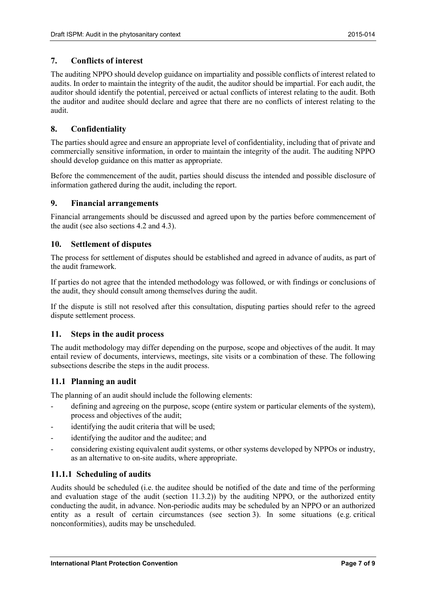#### <span id="page-6-0"></span>**7. Conflicts of interest**

The auditing NPPO should develop guidance on impartiality and possible conflicts of interest related to audits. In order to maintain the integrity of the audit, the auditor should be impartial. For each audit, the auditor should identify the potential, perceived or actual conflicts of interest relating to the audit. Both the auditor and auditee should declare and agree that there are no conflicts of interest relating to the audit.

#### <span id="page-6-1"></span>**8. Confidentiality**

The parties should agree and ensure an appropriate level of confidentiality, including that of private and commercially sensitive information, in order to maintain the integrity of the audit. The auditing NPPO should develop guidance on this matter as appropriate.

Before the commencement of the audit, parties should discuss the intended and possible disclosure of information gathered during the audit, including the report.

#### <span id="page-6-2"></span>**9. Financial arrangements**

Financial arrangements should be discussed and agreed upon by the parties before commencement of the audit (see also sections 4.2 and 4.3).

### <span id="page-6-3"></span>**10. Settlement of disputes**

The process for settlement of disputes should be established and agreed in advance of audits, as part of the audit framework.

If parties do not agree that the intended methodology was followed, or with findings or conclusions of the audit, they should consult among themselves during the audit.

If the dispute is still not resolved after this consultation, disputing parties should refer to the agreed dispute settlement process.

#### <span id="page-6-4"></span>**11. Steps in the audit process**

The audit methodology may differ depending on the purpose, scope and objectives of the audit. It may entail review of documents, interviews, meetings, site visits or a combination of these. The following subsections describe the steps in the audit process.

#### <span id="page-6-5"></span>**11.1 Planning an audit**

The planning of an audit should include the following elements:

- defining and agreeing on the purpose, scope (entire system or particular elements of the system), process and objectives of the audit;
- identifying the audit criteria that will be used;
- identifying the auditor and the auditee; and
- considering existing equivalent audit systems, or other systems developed by NPPOs or industry, as an alternative to on-site audits, where appropriate.

#### <span id="page-6-6"></span>**11.1.1 Scheduling of audits**

Audits should be scheduled (i.e. the auditee should be notified of the date and time of the performing and evaluation stage of the audit (section 11.3.2)) by the auditing NPPO, or the authorized entity conducting the audit, in advance. Non-periodic audits may be scheduled by an NPPO or an authorized entity as a result of certain circumstances (see section 3). In some situations (e.g. critical nonconformities), audits may be unscheduled.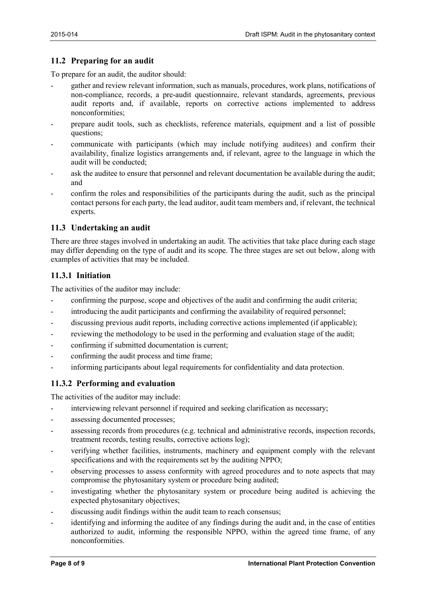# <span id="page-7-0"></span>**11.2 Preparing for an audit**

To prepare for an audit, the auditor should:

- gather and review relevant information, such as manuals, procedures, work plans, notifications of non-compliance, records, a pre-audit questionnaire, relevant standards, agreements, previous audit reports and, if available, reports on corrective actions implemented to address nonconformities;
- prepare audit tools, such as checklists, reference materials, equipment and a list of possible questions;
- communicate with participants (which may include notifying auditees) and confirm their availability, finalize logistics arrangements and, if relevant, agree to the language in which the audit will be conducted;
- ask the auditee to ensure that personnel and relevant documentation be available during the audit; and
- confirm the roles and responsibilities of the participants during the audit, such as the principal contact persons for each party, the lead auditor, audit team members and, if relevant, the technical experts.

### <span id="page-7-1"></span>**11.3 Undertaking an audit**

There are three stages involved in undertaking an audit. The activities that take place during each stage may differ depending on the type of audit and its scope. The three stages are set out below, along with examples of activities that may be included.

# <span id="page-7-2"></span>**11.3.1 Initiation**

The activities of the auditor may include:

- confirming the purpose, scope and objectives of the audit and confirming the audit criteria;
- introducing the audit participants and confirming the availability of required personnel;
- discussing previous audit reports, including corrective actions implemented (if applicable);
- reviewing the methodology to be used in the performing and evaluation stage of the audit;
- confirming if submitted documentation is current;
- confirming the audit process and time frame;
- informing participants about legal requirements for confidentiality and data protection.

# <span id="page-7-3"></span>**11.3.2 Performing and evaluation**

The activities of the auditor may include:

- interviewing relevant personnel if required and seeking clarification as necessary;
- assessing documented processes;
- assessing records from procedures (e.g. technical and administrative records, inspection records, treatment records, testing results, corrective actions log);
- verifying whether facilities, instruments, machinery and equipment comply with the relevant specifications and with the requirements set by the auditing NPPO;
- observing processes to assess conformity with agreed procedures and to note aspects that may compromise the phytosanitary system or procedure being audited;
- investigating whether the phytosanitary system or procedure being audited is achieving the expected phytosanitary objectives;
- discussing audit findings within the audit team to reach consensus;
- identifying and informing the auditee of any findings during the audit and, in the case of entities authorized to audit, informing the responsible NPPO, within the agreed time frame, of any nonconformities.